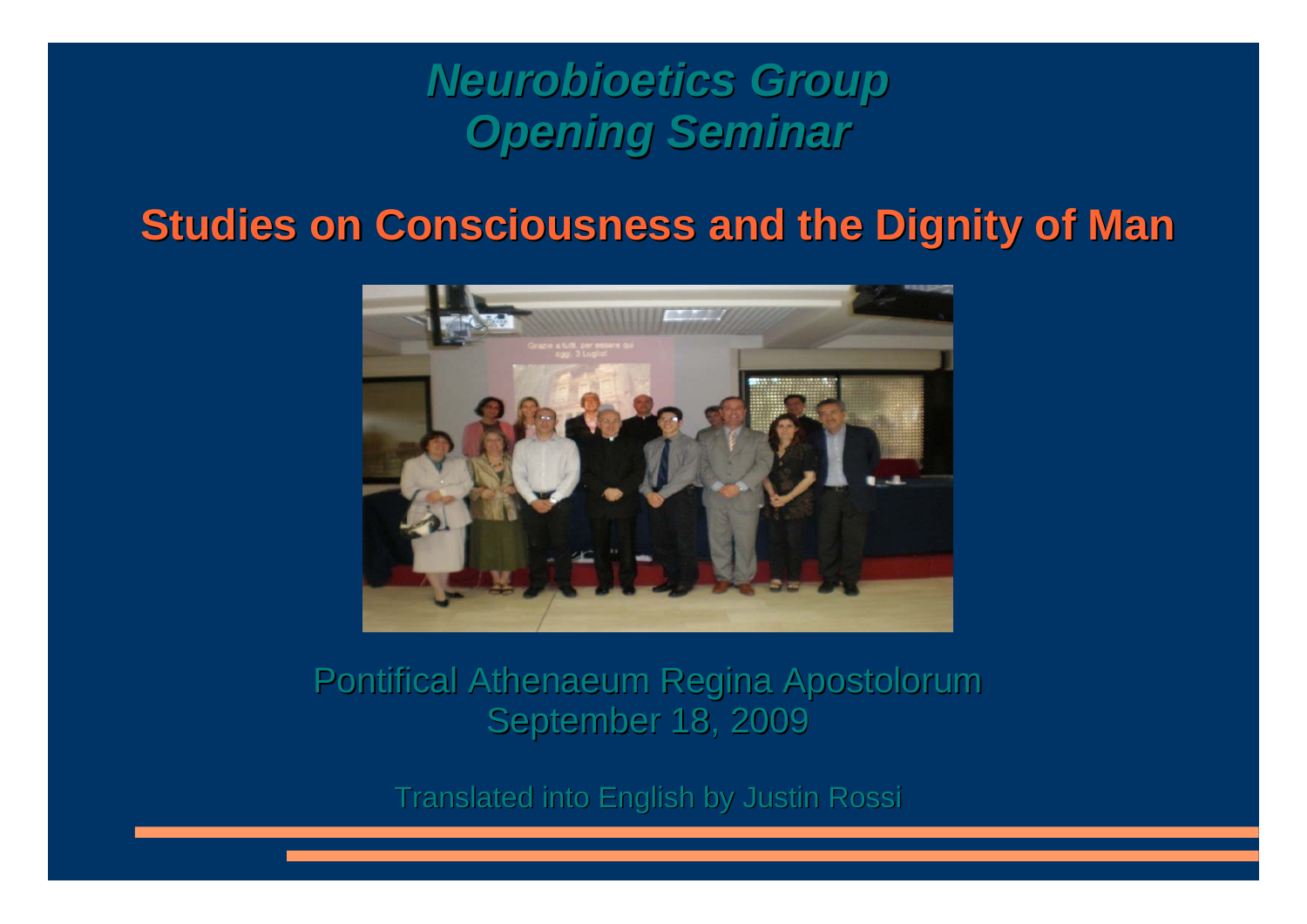### *Neurobioetics Neurobioetics Group* **Opening Seminar**

#### **Studies on Consciousness and the Dignity of Man**



#### Pontifical Athenaeum Regina Apostolorum September 18, 2009

Translated into English by Justin Rossi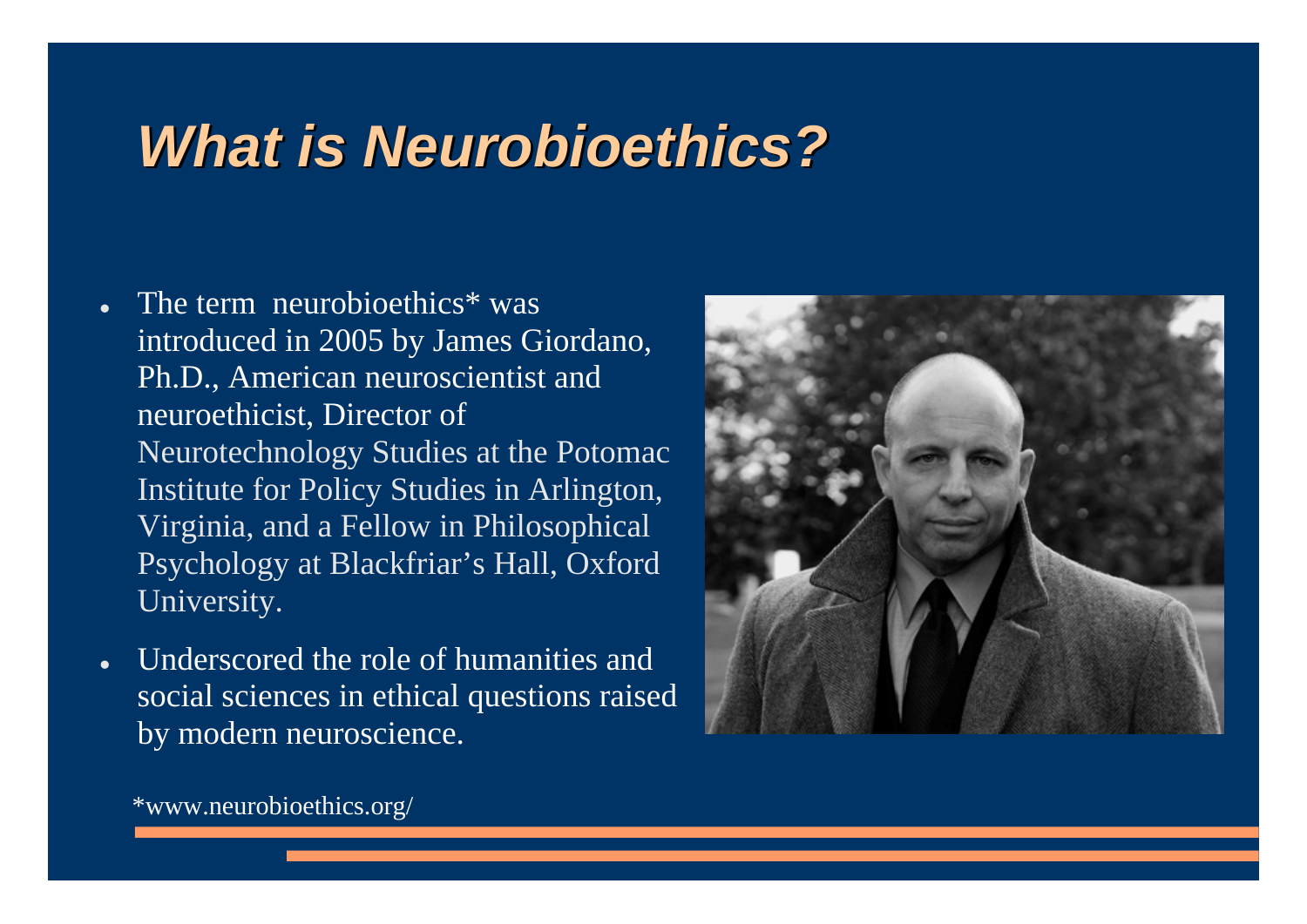## *WhatisNeurobioethics Neurobioethics?*

- The term neurobioethics\* was introduced in 2005 by James Giordano, Ph.D., American neuroscientist and neuroethicist, Director of Neurotechnology Studies at the Potomac Institute for Policy Studies in Arlington, Virginia, and a Fellow in Philosophical Psychology at Blackfriar's Hall, Oxford University.
- Underscored the role of humanities and social sciences in ethical questions raised by modern neuroscience.



\*www.neurobioethics.org/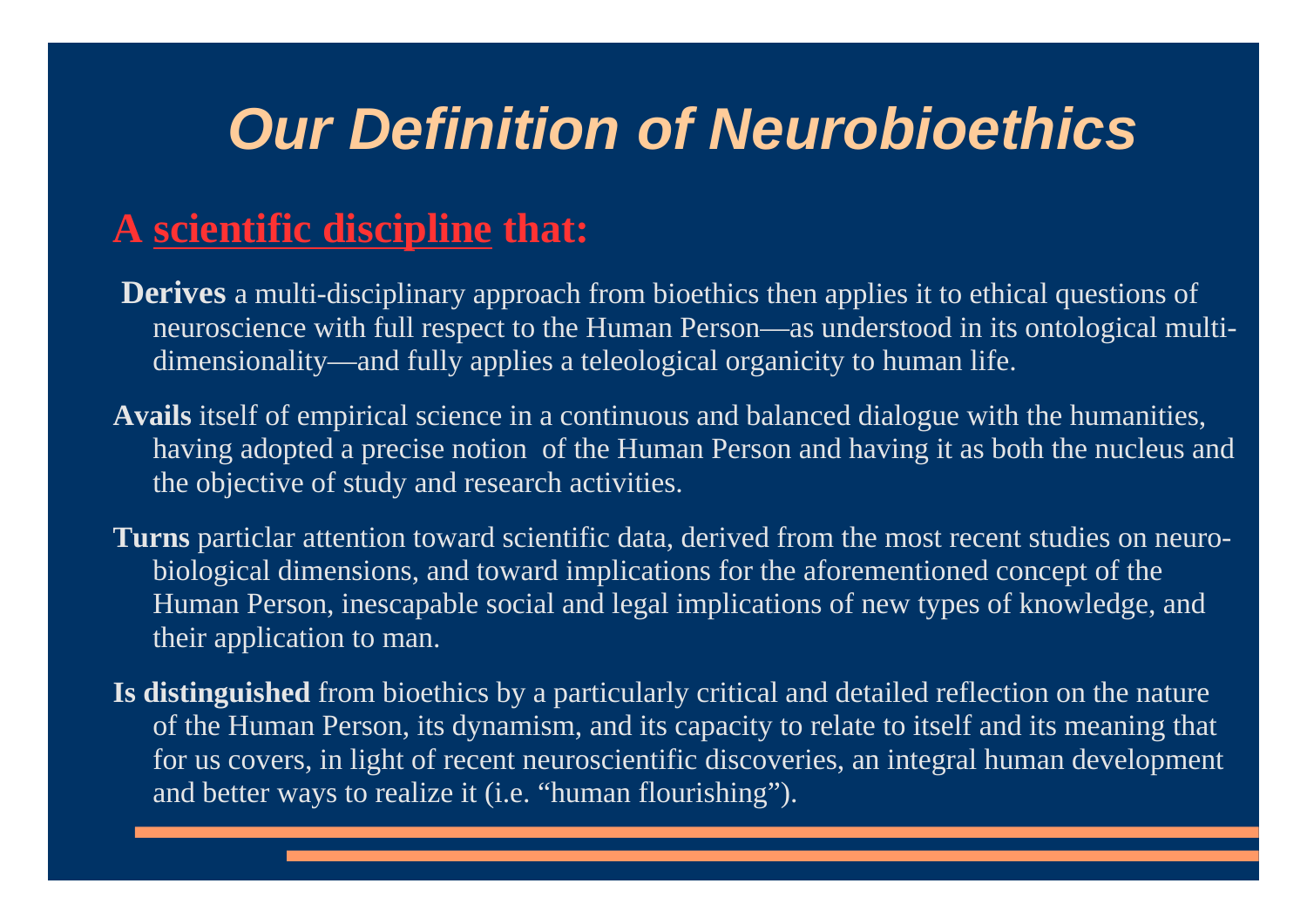# *Our Definition of Neurobioethics*

#### **A scientific discipline that:**

- **Derives** a multi-disciplinary approach from bioethics then applies it to ethical questions of neuroscience with full respect to the Human Person—as understood in its ontological multidimensionality—and fully applies a teleological organicity to human life.
- **Avails** itself of empirical science in a continuous and balanced dialogue with the humanities, having adopted a precise notion of the Human Person and having it as both the nucleus and the objective of study and research activities.
- **Turns** particlar attention toward scientific data, derived from the most recent studies on neurobiological dimensions, and toward implications for the aforementioned concept of the Human Person, inescapable social and legal implications of new types of knowledge, and their application to man.
- **Is distinguished** from bioethics by a particularly critical and detailed reflection on the nature of the Human Person, its dynamism, and its capacity to relate to itself and its meaning that for us covers, in light of recent neuroscientific discoveries, an integral human development and better ways to realize it (i.e. "human flourishing").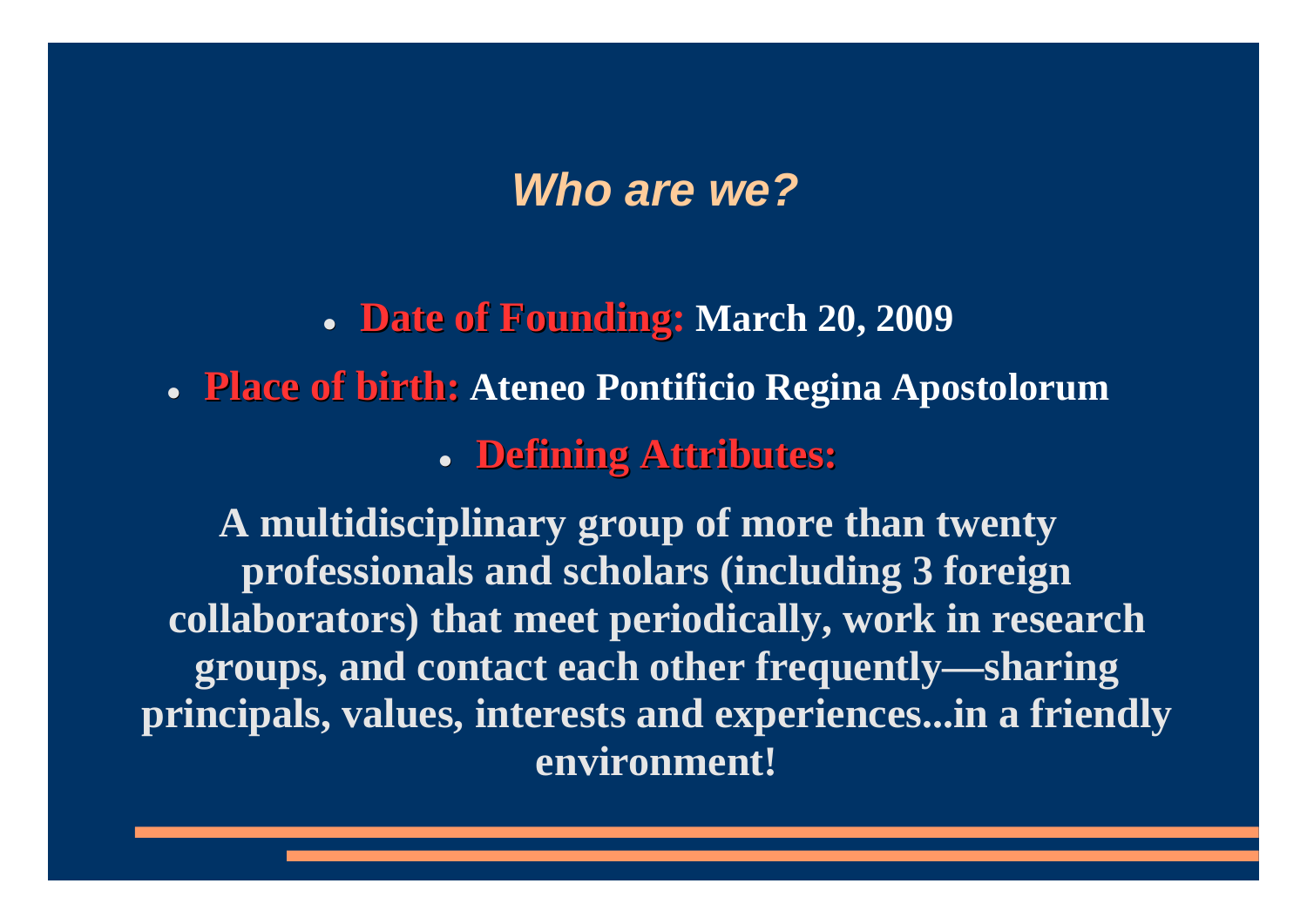### *Who are we?*

**Date of Founding: March 20, 2009** 

**• Place of birth:** Ateneo Pontificio Regina Apostolorum **• Defining Attributes:** 

**A multidisciplinary group of more than twenty professionals and scholars (including 3 foreign collaborators) that meet periodically, work in research groups, and contact each other frequently—sharing principals, values, interests and experiences...in a friendly environment!**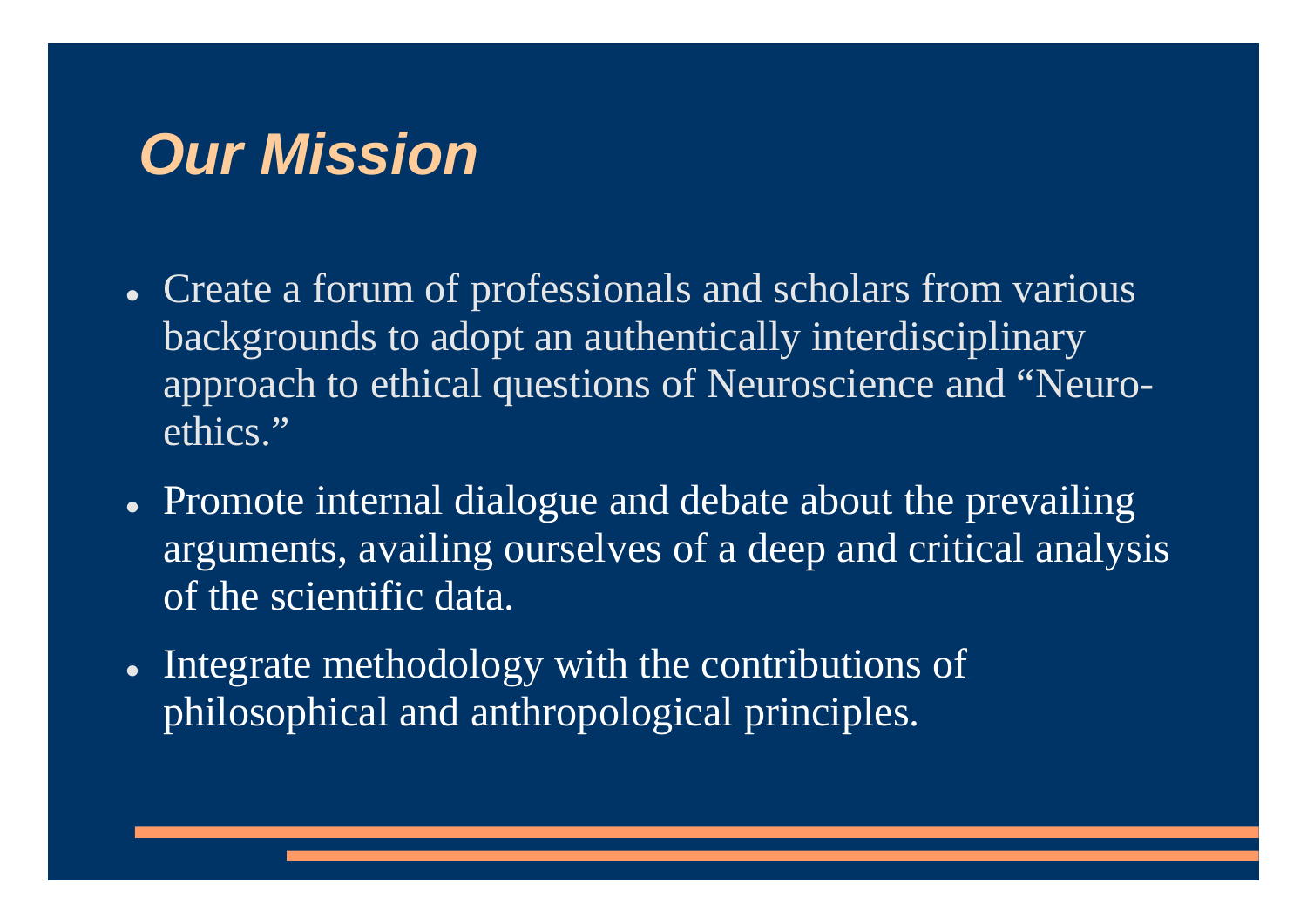- Create a forum of professionals and scholars from various backgrounds to adopt an authentically interdisciplinary approach to ethical questions of Neuroscience and "Neuroethics."
- Promote internal dialogue and debate about the prevailing arguments, availing ourselves of a deep and critical analysis of the scientific data.
- Integrate methodology with the contributions of philosophical and anthropological principles.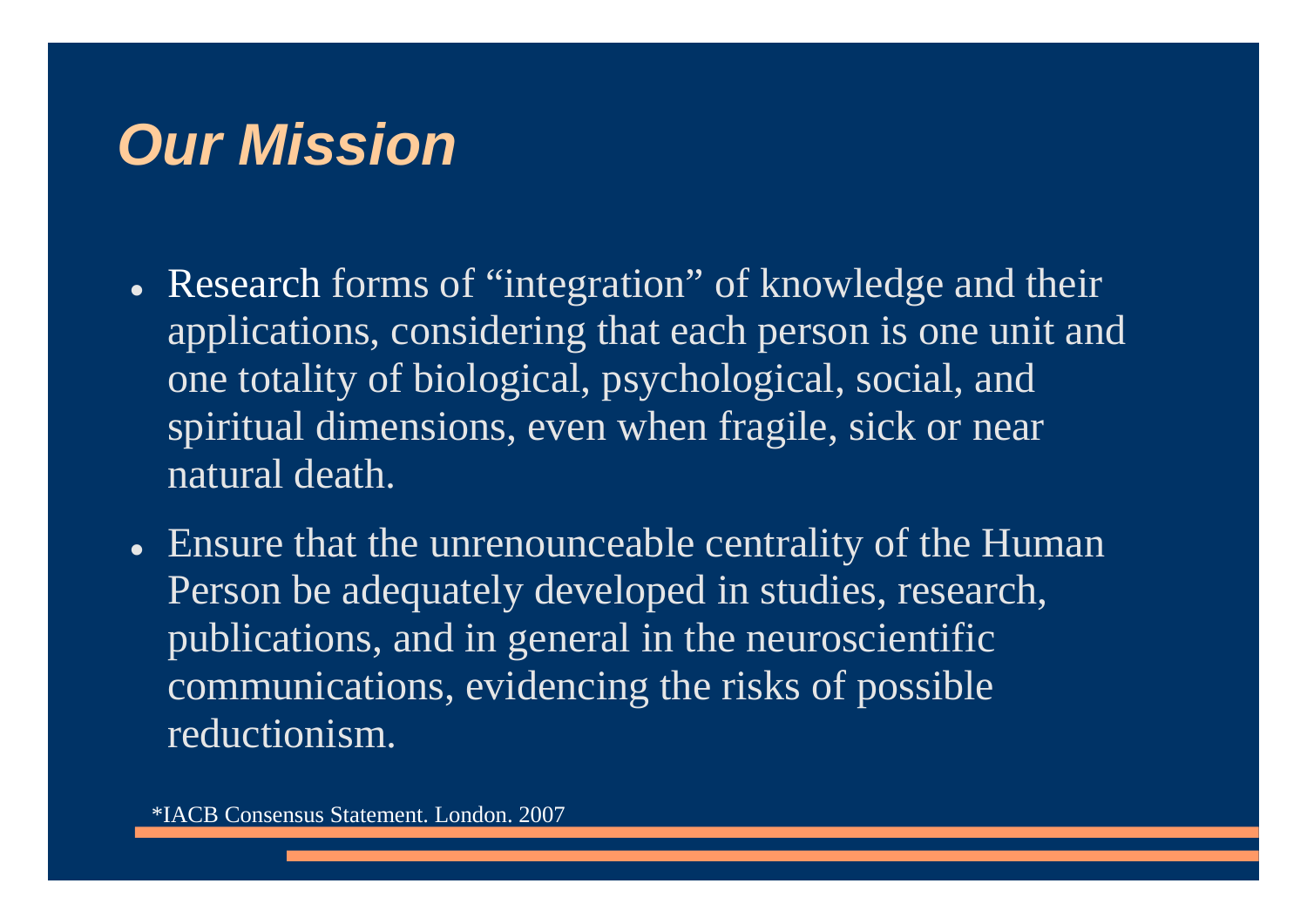- Research forms of "integration" of knowledge and their applications, considering that each person is one unit and one totality of biological, psychological, social, and spiritual dimensions, even when fragile, sick or near natural death.
- Ensure that the unrenounceable centrality of the Human Person be adequately developed in studies, research, publications, and in general in the neuroscientific communications, evidencing the risks of possible reductionism.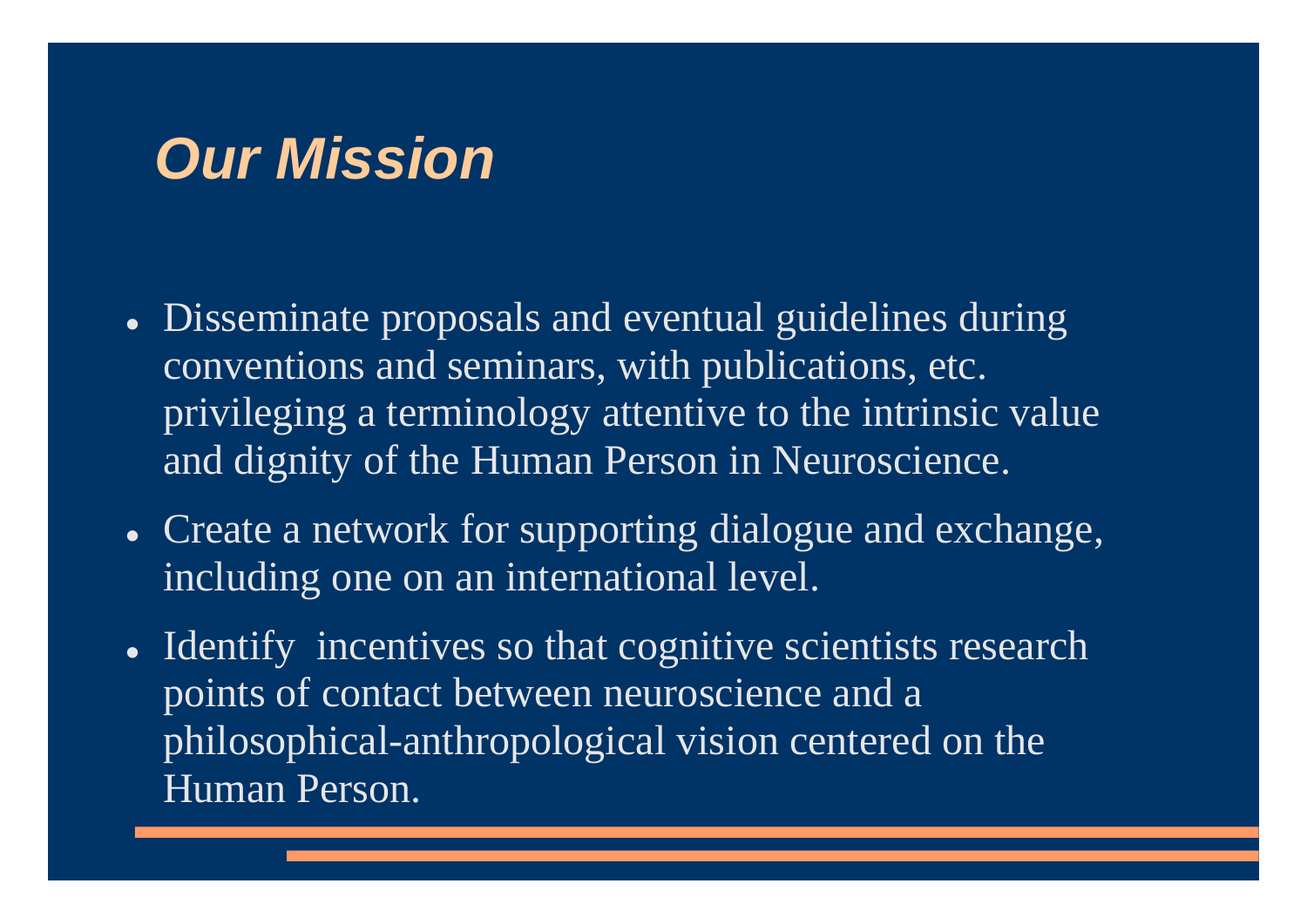- Disseminate proposals and eventual guidelines during conventions and seminars, with publications, etc. privileging a terminology attentive to the intrinsic value and dignity of the Human Person in Neuroscience.
- Create a network for supporting dialogue and exchange, including one on an international level.
- Identify incentives so that cognitive scientists research points of contact between neuroscience and a philosophical-anthropological vision centered on the Human Person.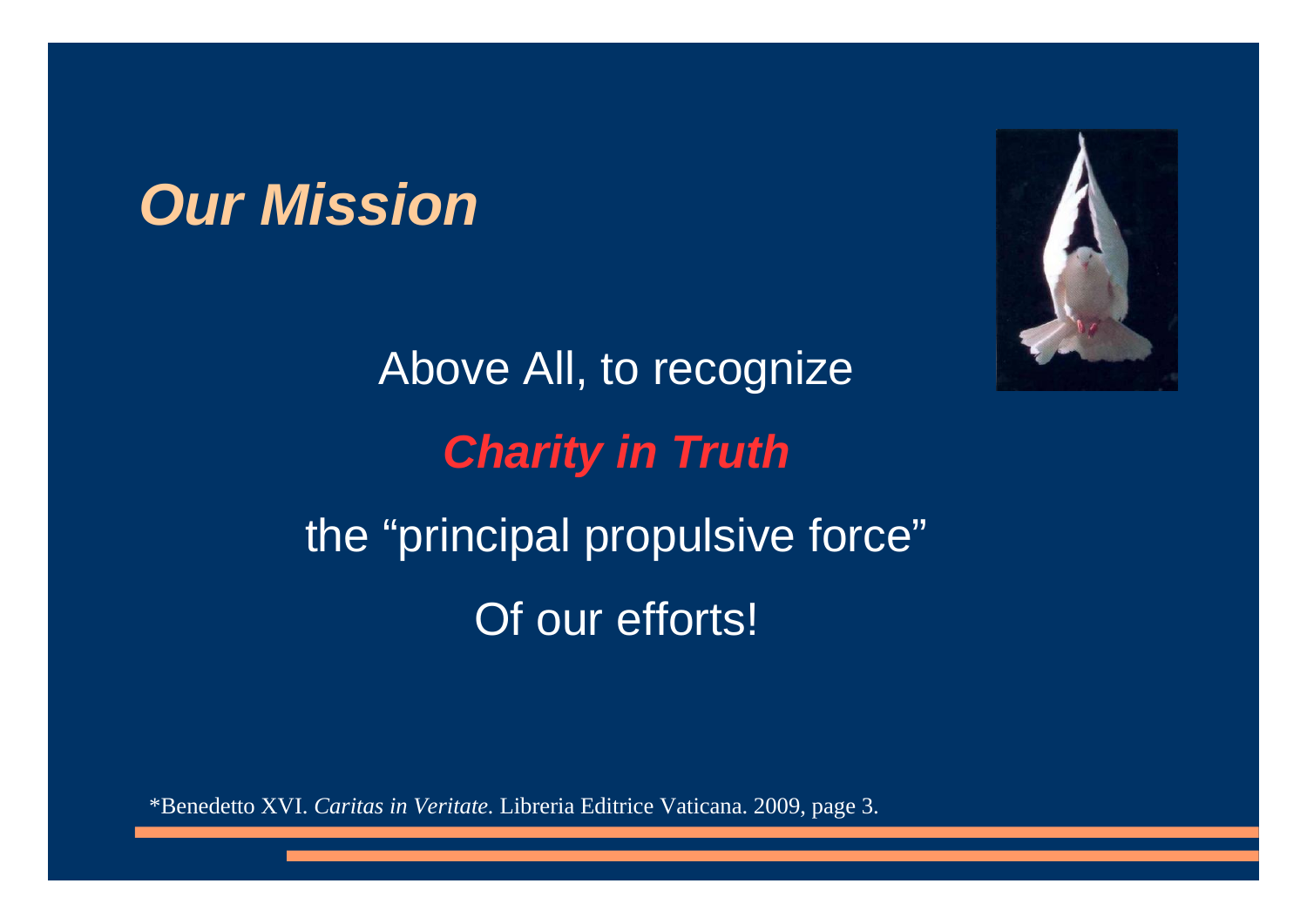

Above All, to recognize *Charity in Truth* the "principal propulsive force" Of our efforts!

\*Benedetto XVI. *Caritas in Veritate.* Libreria Editrice Vaticana. 2009, page 3.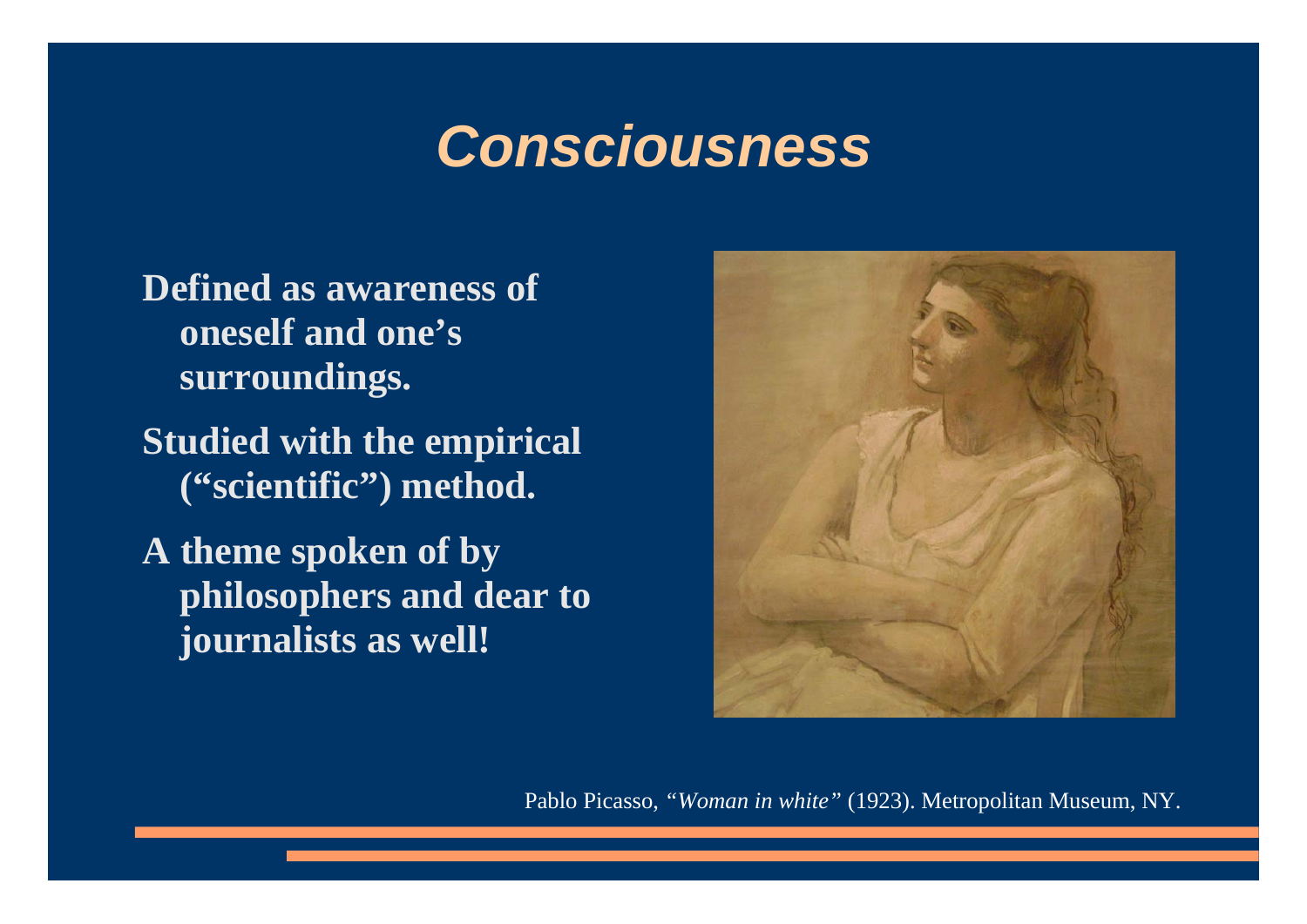### *Consciousness*

- **Defined as awareness of oneself and one's surroundings.**
- **Studied with the empirical ("scientific") method.**
- **A theme spoken of by philosophers and dear to journalists as well!**



Pablo Picasso, *"Woman in white"* (1923). Metropolitan Museum, NY.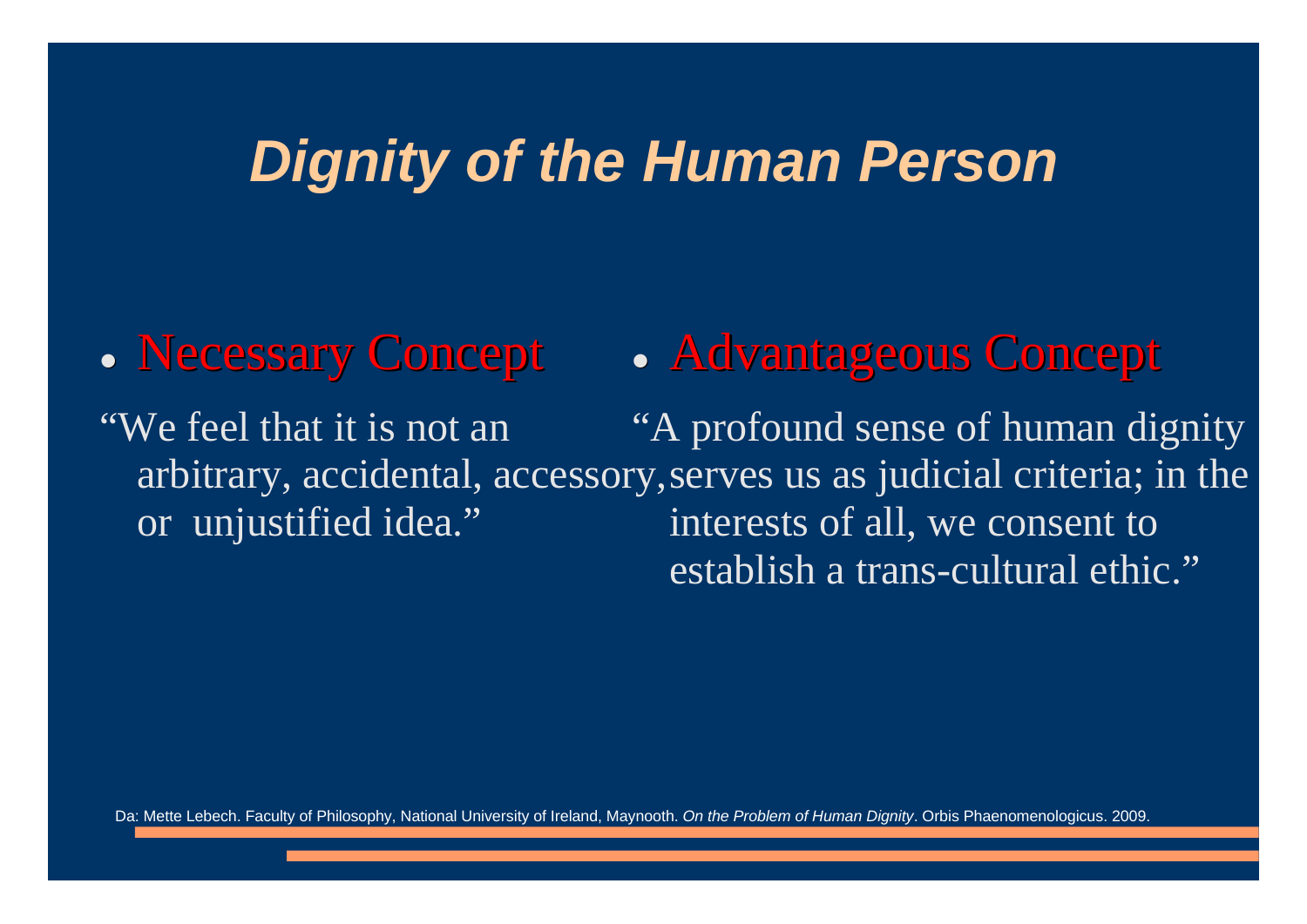### *Dignity of the Human Person*

 $\bullet$ **Necessary Concept** "We feel that it is not an arbitrary, accidental, accessory, serves us as judicial criteria; in the or unjustified idea."  $\bullet$ **• Advantageous Concept** "A profound sense of human dignity interests of all, we consent to establish a trans-cultural ethic."

Da: Mette Lebech. Faculty of Philosophy, National University of Ireland, Maynooth. *On the Problem of Human Dignity*. Orbis Phaenomenologicus. 2009.